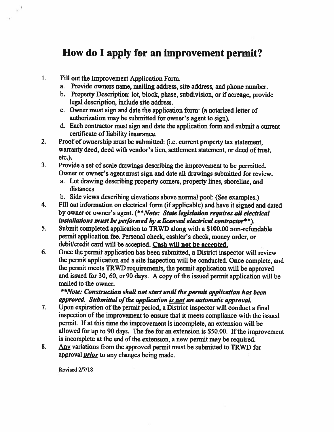## How do 1 apply for an improvement permit?

 $\mathbf{1}$ . Fill out the Improvement Application Form.

 $\frac{1}{k}$ 

- a. Provide owners name, mailing address, site address, and <sup>p</sup>hone number.
- b. Property Description: lot, block, <sup>p</sup>hase, subdivision, or if acreage, provide legal description, include site address.
- c. Owner must sign and date the application form: (a notarized letter of authorization may be submitted for owner's agen<sup>t</sup> to sign).
- d. Each contractor must sign and date the application form and submit a current certificate of liability insurance.
- 2. Proof of ownership must be submitted: (i.e. current property tax statement, warranty deed, deed with vendor's lien, settlement statement, or deed of trust, etc.).
- 3. Provide <sup>a</sup> set of scale drawings describing the improvement to be permitted. Owner or owner's agen<sup>t</sup> must sign and date all drawings submitted for review.
	- a. Lot drawing describing property corners, property lines, shoreline, and distances
	- b. Side views describing elevations above normal pool: (See examples.)
- 4. Fill out information on electrical form (if applicable) and have it signed and dated by owner or owner's agent. (\*\*Note: State legislation requires all electrical installations must be performed by <sup>a</sup> licensed electrical contractor\*\*).
- 5. Submit completed application to TRWD along with <sup>a</sup> \$100.00 non-refimdable permit application fee. Personal check, cashier's cheek, money order, or debit/credit card will be accepted. Cash will not be accepted.
- 6. Once the permit application has been submitted, <sup>a</sup> District inspector will review the permit application and <sup>a</sup> site inspection will be conducted. Once complete, and the permit meets TRWD requirements, the permit application will be approve<sup>d</sup> and issued for 30, 60, or 90 days. A copy of the issued permit application will be mailed to the owner.

#### \*\*Note: Construction shall not start until the permit application has been approved. Submittal of the application is not an automatic approval.

- 7. Upon expiration of the permit period, a District inspector will conduct a final inspection of the improvement to ensure that it meets compliance with the issued permit. If at this time the improvement is incomplete, an extension will be allowed for up to 90 days. The fee for an extension is \$50.00. If the improvement is incomplete at the end of the extension, <sup>a</sup> new permit may be required.
- 8. Any variations from the approved permit must be submitted to TRWD for approval *prior* to any changes being made.

Revised 2/7/18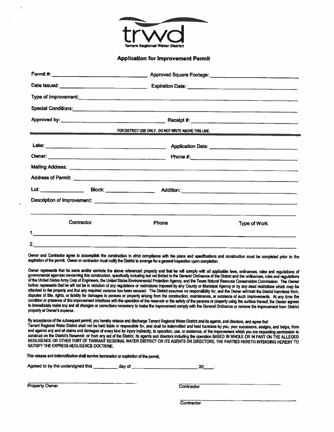

#### Application for Improvement Permit

| <b>Special Conditions:</b> <u>Andreas Andreas Andreas Andreas Andreas Andreas Andreas Andreas Andreas Andreas Andreas Andreas Andreas Andreas Andreas Andreas Andreas Andreas Andreas Andreas Andreas Andreas Andreas Andreas Andreas</u> |                                                      |                     |
|-------------------------------------------------------------------------------------------------------------------------------------------------------------------------------------------------------------------------------------------|------------------------------------------------------|---------------------|
| Approved by: <u>Approved by:</u> Receipt #: Necessary Receipt #:                                                                                                                                                                          |                                                      |                     |
| <u> De Bergham (Bar</u>                                                                                                                                                                                                                   | FOR DISTRICT USE ONLY. DO NOT WRITE ABOVE THIS LINE. |                     |
|                                                                                                                                                                                                                                           |                                                      |                     |
|                                                                                                                                                                                                                                           |                                                      |                     |
|                                                                                                                                                                                                                                           |                                                      |                     |
| Address of Permit: <u>Address of Permit: Address of Permit: Address of Permit: Address of Permit: Address of Permit:</u>                                                                                                                  |                                                      |                     |
|                                                                                                                                                                                                                                           |                                                      |                     |
|                                                                                                                                                                                                                                           |                                                      |                     |
| Contractor                                                                                                                                                                                                                                | <b>Phone</b>                                         | <b>Type of Work</b> |
|                                                                                                                                                                                                                                           |                                                      |                     |
| 2.                                                                                                                                                                                                                                        |                                                      |                     |

Owner and Contractor agree to accomplish the construction in strict compliance with the plans and specifications and construction must be completed prior to the expiration of the permit. Owner or contractor must notify the District to anange for <sup>a</sup> genera<sup>l</sup> inspection upon completori.

Owner represents that he owns and/or controls the above referenced property and that he will comply with all applicable laws, ordinances, rules and regulations of<br>governmental agencies concerning this construction, specifi of the United States Army Corp of Engineers, the United States Environmental Protection Agency, and the Texas Natural Resource Conservation Commission. The Owner<br>further represents that he will not be in violation of any r attached to the property and that any required variance has been secured. The District assumes no responsibility for, and the Owner will hold the District harmless from,<br>disputes of title, rights, or liability for damages condition or presence of this improvement interferes with the operation of the reservoir or the safety of the persons or property using the surface thereof, the Owner agrees<br>to immediately make any and all changes or corre property at Owner's expense.

By acceptance of the subsequent permit, you hereby release and discharge Tarrant Regional Water District and its agents, and directors, and agree that<br>Tarrant Regional Water District shall not be held liable or responsible SATISFY THE EXPRESS NEGLIGENCE DOCTRINE.

This release and indemnification shall survive termination or expiration of the permit,

| Agreed to by the undersigned this | day of |  |
|-----------------------------------|--------|--|
|-----------------------------------|--------|--|

Property Owner Contractor

**Contractor**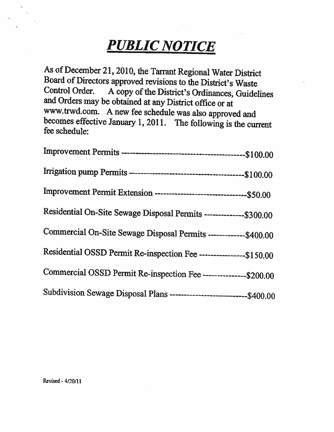## PUBLIC NOTICE

As of December 21, 2010, the Tarrant Regional Water District Board of Directors approved revisions to the District's Waste Control Order. A copy of the District's Ordinances, Guidelines and Orders may be obtained at any District office or at www.trwd.com. A new fee schedule was also approved and becomes effective January 1, 2011. The following is the current fee schedule:

| Improvement Permit Extension ----------------------------------\$50.00 |
|------------------------------------------------------------------------|
| Residential On-Site Sewage Disposal Permits --------------\$300.00     |
| Commercial On-Site Sewage Disposal Permits --------------\$400.00      |
| Residential OSSD Permit Re-inspection Fee ----------------\$150.00     |
| Commercial OSSD Permit Re-inspection Fee --------------\$200.00        |
| Subdivision Sewage Disposal Plans ----------------------------\$400.00 |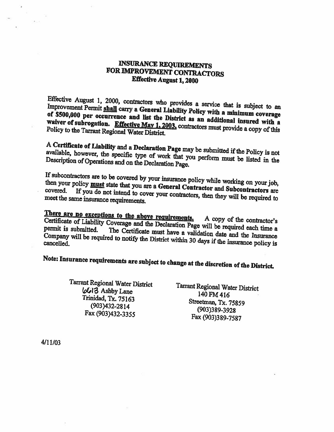## INSURANCE REQUIREMENTS FOR IMPROVEMENT CONTRACTORS Effective August 1, <sup>2000</sup>

Improvement Effective August 1, 2000, contractors who provides a service that is subject to an improvement Permit shall carry a Canamal Liability in it. Improvement Permit shall carry a General Liability Policy with a minimum coverage of \$500,000 per improvement Permit shall carry a General Liability Policy with a minimum coverage<br>of \$500,000 per occurrence and list the District as an additional insured with a<br>waiver of subrogation. Effective May 1, 2003, contractors m

available, A Certificate of Liability and a Declaration Page may be submitted if the Policy is not<br>available, however, the specific type of work that we are not the Policy is not however, the specific type of work that you perform must be listed in the and on the Declaration Page. Description of Operations and on the Declaration Page.

then If subcontractors your policy <u>must</u> It subcontractors are to be covered by your insurance policy while working on your job, then your policy **must** state that you are a General Contractor and Subcontractors are covered. If you do not intend to cover your con

**Effect are no exceptions to the above requirements.** A copy of the contractor's Certificate of Liability Coverage and the Declaration Page will be seen in the contractor's There are no Certificate of Liability Coverage and the Declaration Page will be required each time a<br>permit is submitted. The Certificate must have a validation date and the Insurance<br>Company will be required to notify the District wit Company will be required to notify the District within 30 days if the insurance policy is<br>cancelled.

Note: Insurance requirements are subject to change at the discretion of the District.

Tarrant Regional Water District  $6013$  Ashby Lane 140 FM 416<br>Trinidad, Tx. 75163 Streetman, Tx. 75859<br>(903)432-2814 (903)389-3928<br>Fax (903)432-3355 Fax (903)389-7587

4/11/03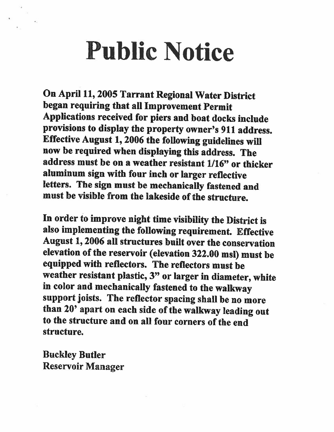# Public Notice

On April 11, <sup>2005</sup> Tarrant Regional Water District began requiring that all Improvement Permit Applications received for <sup>p</sup>iers and boat docks include provisions to display the property owner's <sup>911</sup> address. Effective August 1, <sup>2006</sup> the following guidelines wifi now be required when displaying this address. The address must be on <sup>a</sup> weather resistant 1/16" or thicker aluminum sign with four inch or larger reflective letters. The sign must be mechanically fastened and must be visible from the lakeside of the structure.

In order to improve night time visibility the District is also implementing the following requirement. Effective August 1, 2006 all structures built over the conservation elevation of the reservoir (elevation 322.00 msl) must be equipped with reflectors. The reflectors must be weather resistant <sup>p</sup>lastic, 3" or larger in diameter, white in color and mechanically fastened to the walkway support joists. The reflector spacing shall be no more than 20' apart on each side of the walkway leading out to the structure and on all four corners of the end structure.

Buckley Butler Reservoir Manager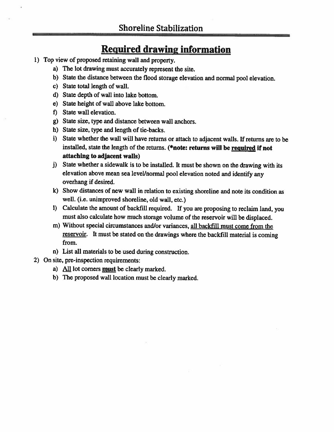## Required drawing information

- 1) Top view of proposed retaining wall and property.
	- a) The lot drawing must accurately represent the site.
	- b) State the distance between the flood storage elevation and normal poo<sup>i</sup> elevation.
	- c) State total length of wall.
	- d) State depth of wall into lake bottom.
	- e) State height of wall above lake bottom.
	- f) State wall elevation.
	- g) State size, type and distance between wall anchors.
	- h) State size, type and length of tie-backs.
	- i) State whether the wall will have returns or attach to adjacent walls, if returns are to be installed, state the length of the returns. (\*note: returns will be required if not attaching to adjacent walls)
	- j) State whether <sup>a</sup> sidewalk is to be installed. It must be shown on the drawing with its elevation above mean sea level/normal pool elevation noted and identify any overhang if desired.
	- k) Show distances of new wall in relation to existing shoreline and note its condition as well. (i.e. unimproved shoreline, old wall, etc.)
	- 1) Calculate the amount of backfill required. if you are proposing to reclaim land, you must also calculate how much storage volume of the reservoir will be displaced.
	- m) Without special circumstances and/or variances, all backfill must come from the reservoir. It must be stated on the drawings where the backfill material is coming from.
	- n) List all materials to be used during construction.
- 2) On site, pre-inspection requirements:
	- a) All lot corners must be clearly marked.
	- b) The proposed wall location must be clearly marked.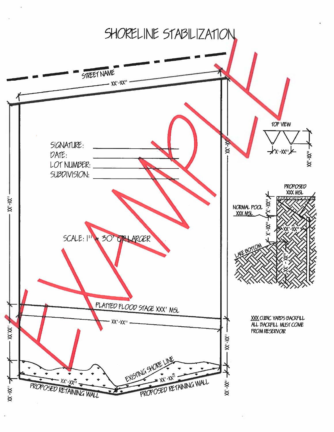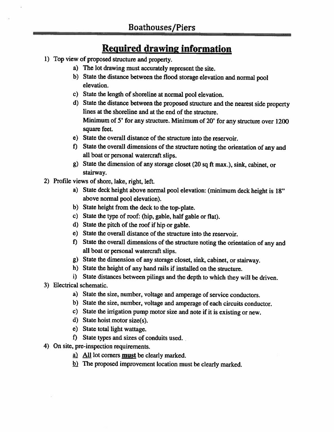## Required drawing information

- 1) Top view of proposed structure and property.
	- a) The lot drawing must accurately represent the site.
	- b) State the distance between the flood storage elevation and normal poo<sup>i</sup> elevation.
	- c) State the length of shoreline at normal poo<sup>l</sup> elevation.
	- d) State the distance between the proposed structure and the nearest side property lines at the shoreline and at the end of the structure. Minimum of 5' for any structure. Minimum of 20' for any structure over <sup>1200</sup> square feet.
	- e) State the overall distance of the structure into the reservoir.
	- f) State the overall dimensions of the structure noting the orientation of any and all boat or personal watercraft slips.
	- g) State the dimension of any storage closet (20 sq ft max.), sink, cabinet, or stairway.
- 2) Profile views of shore, lake, right, left.
	- a) State deck height above normal poo<sup>l</sup> elevation: (minimum deck height is 18" above normal pool elevation).
	- b) State height from the deck to the top-plate.
	- c) State the type of roof: (hip, gable, half gable or flat).
	- d) State the <sup>p</sup>itch of the roof if hip or gable.
	- e) State the overall distance of the structure into the reservoir.
	- f) State the overall dimensions of the structure noting the orientation of any and all boat or personal watercraft slips.
	- g) State the dimension of any storage closet, sink, cabinet, or stairway.
	- h) State the height of any hand rails if installed on the structure.
	- i) State distances between <sup>p</sup>ilings and the depth to which they will be driven.
- 3) Electrical schematic.
	- a) State the size, number, voltage and amperage of service conductors.
	- b) State the size, number, voltage and amperage of each circuits conductor.
	- c) State the irrigation pump motor size and note if it is existing or new.
	- d) State hoist motor size(s).
	- e) State total light wattage.
	- f) State types and sizes of conduits used.
- 4) On site, pre-inspection requirements.
	- a) All lot corners must be clearly marked.
	- $\underline{b}$ ) The proposed improvement location must be clearly marked.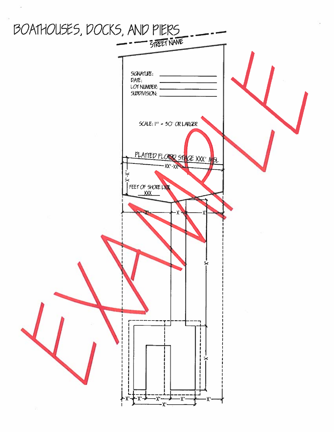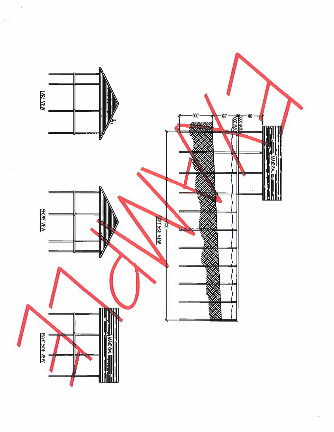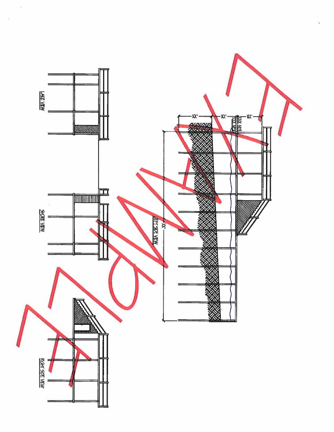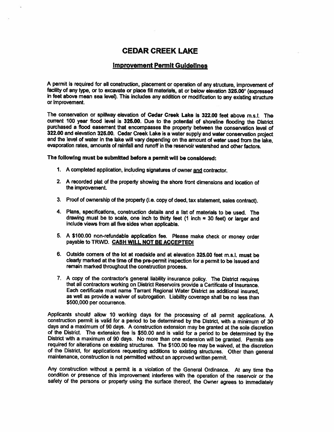#### CEDAR CREEK LAKE

#### Improvement Permit Guidelines

<sup>P</sup> permit is required for all construction, <sup>p</sup>lacement or operation of any structure, improvement of facility of any type, or to excavate or <sup>p</sup>lace fill materials, at or below elevation 325.00' (expressed in feet above mean sea level). This includes any addition or modification to any existing structure or improvement.

The conservation or spillway elevation of Cedar Creek Lake is 322,00 feet above m.s.l. The current <sup>100</sup> year flood level is 325.00. Due to the potential of shoreline flooding the District purchased <sup>a</sup> flood easement that encompasses the property between the conservation level of 322.00 and elevation 325.00. Cedar Creek Lake is <sup>a</sup> water supply and water conservation project and the level of water in the lake will vary depending on the amount of water used from the lake, evaporation rates, amounts of rainfall and runoff in the reservoir watershed and other factors.

The following must be submitted before <sup>a</sup> pennlt will be considered:

- 1. A completed application, including signatures of owner and contractor.
- 2. <sup>A</sup> recorded <sup>p</sup>lat of the property showing the shore front dimensions and location of the improvement.
- 3. Proof of ownership of the property (i.e. copy of deed, tax statement, sales contract).
- 4. Plans, specifications, construction details and <sup>a</sup> list of materials to be used. The drawing must be to scale, one inch to thirty feet (1 inch  $=$  30 feet) or larger and include views from all five sides when applicable.
- 5. <sup>A</sup> \$100.00 non-refundable application fee. Please make check or money order payable to TRWD. CASH WILL NOT BE ACCEPTEDI
- 6. Outside corners of the lot at roadside and at elevation 325.00 feet m.s.l. must be clearly marked at the time of the pre-permit inspection for <sup>a</sup> permit to be issued and remain marked throughout the construction process.
- 7. <sup>A</sup> copy of the contractor's general liability insurance policy. The District requires that all contractors working on District Reservoirs provide <sup>a</sup> Certificate of lnsuranca Each certificate must name Tarrant Regional Water District as additional insured, as well as provide <sup>a</sup> waiver of subrogation. Liability coverage shall be no less than \$500,000 per occurrence.

Applicants should allow <sup>10</sup> working days for the processing of all permit applications. <sup>A</sup> construction permit is valid for <sup>a</sup> period to be determined by the District, with <sup>a</sup> minimum of <sup>30</sup> days and <sup>a</sup> maximum of <sup>90</sup> days. <sup>A</sup> construction extension may be granted at the sole discretion of the District. The extension fee is \$50.00 and is valid for <sup>a</sup> period to be determined by the District with <sup>a</sup> maximum of <sup>90</sup> days. No more than one extension will be granted. Permits are required for alterations on existing structures. The \$100.00 fee may be waived, at the discretion of the District, for applications requesting additions to existing structures. Other than general maintenance, construction is not permitted without an approved written permit.

Any construction without <sup>a</sup> permit is <sup>a</sup> violation of the General Ordinance. At any time the condition or presence of this improvement interferes with the operation of the reservoir or the safety of the persons or property using the surface thereof, the Owner agrees to immediately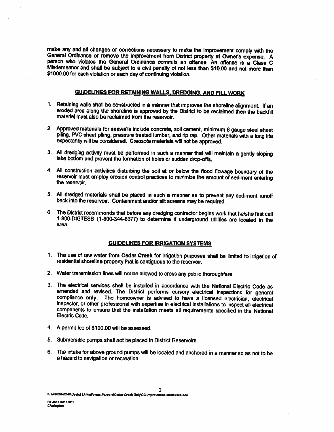make any and all changes or corrections necessary to make the improvement comply with the General Ordinance or remove the improvement from District property at Owner's expense. A person who violates the General Ordinance commits an offense. An offense is <sup>a</sup> Class C Misdemeanor and shall be subject to a civil penalty of not less than \$10.00 and not more than<br>\$1000.00 for each violation or each day of continuing violation.

#### GUIDELINES FOR RETAINING WALLS. DREDGING. AND FILL WORK

- 1. Retaining walls shall be constructed in <sup>a</sup> manner that improves the shoreline alignment. If an eroded area along the shoreline is approved by the District to be reclaimed then the backfill material must also be reclaimed from the reservoir.
- 2, Approved materials for seawalls include concrete, soil cement, minimum <sup>8</sup> gauge steel sheet <sup>p</sup>iling, PVC sheet <sup>p</sup>iling, pressure treated lumber, and rip rap. Other materials with <sup>a</sup> long life expectancywill be considered. Creosote materials will not be approved.
- 3. All dredging activity must be performed in such <sup>a</sup> manner that will maintain <sup>a</sup> gently sloping lake bottom and prevent the formation of holes or sudden drop-offs.
- 4. All construction activities disturbing the soil at or below the flood flowage boundary of the reservoir must employ erosion control practices to minimize the amount of sediment entering the reservoir.
- 5. All dredged materials shall be <sup>p</sup>laced in such <sup>a</sup> manner as to prevent any sediment runoff back into the reservoir. Containment and/or silt screens may be required.
- 6. The District recommends that before any dredging contractor begins work that helshe first call 1-800-DIGTESS (1-800-344-8377) to determine if underground utilities are located in the area.

#### GUIDELINES FOR IRRIGATION SYSTEMS

- 1. The use of raw water from Cedar Creek for irrigation purposes shall be limited to irrigation of residential shoreline property that is contiguous to the reservoir.
- 2. Water transmission lines will not be allowed to cross any public thoroughfare.
- 3. The electrical services shall be installed in accordance with the National Electric Code as amended and revised. The District performs cursory electrical inspections for general compliance only. The homeowner is advised to have a licensed electrician, electrical inspector, or other professional with expertise in electrical installations to inspect all electrical components to ensure that the installation meets all requirements specified in the National Electric Code.
- 4. A permit fee of \$100.00 will be assessed.
- 5. Submersible pumps shall not be <sup>p</sup>laced in District Reservoirs.
- 6. The intake for above ground pumps will be located and anchored in <sup>a</sup> manner so as not to be <sup>a</sup> hazard to navigation or recreation.

 $\mathbf{r}$ 

K:WebSite2010Wseful Links\Forms.Permits\Cedar Creek Only\CC Improvment Guldelines.doc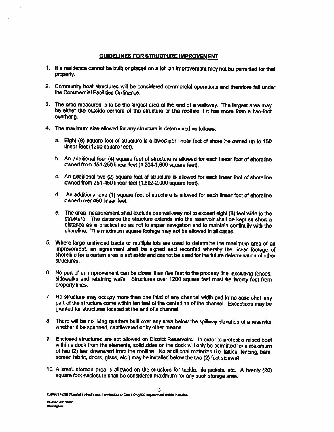#### GUIDELINES FOR STRUCTURE IMPROVEMENT

- 1. If <sup>a</sup> residence cannot be built or <sup>p</sup>laced on <sup>a</sup> lot, an improvement may not be permitted for that property.
- 2. Community boat structures will be considered commercial operations and therefore fall under the Commercial Facilities Ordinance.
- 3. The area measured is to be the largest area at the end of <sup>a</sup> walkway. The largest area may be either the outside corners of the structure or the roofline if ft has more than <sup>a</sup> two-foot overhang.
- 4. The maximum size allowed for any structure is determined as follows:
	- a. Eight (8) square feet of structure is allowed per linear foot of shoreline owned up to 150 linear feet (1200 square feet).
	- b. An additional four (4) square feet of structure is allowed for each linear foot of shoreline owned from 151-250 linear feet (1,204-1,600 square feet).
	- c. An additional two (2) square feet of structure is allowed for each linear foot of shoreline owned from 251-450 linear feet (1,602-2,000 square feet).
	- d. An additional one (1) square foot of structure is allowed for each linear foot of shoreline owned over 450 linear feet.
	- e. The area measurement shall exclude one walkway not to exceed eight (8) feet wide to the distance as is practical so as not to impair navigation and to maintain continuity with the<br>shoreline. The maximum square footage may not be allowed in all cases.
- 5. Where large undivided tracts or multiple lots are used to determine the maximum area of an improvement, an agreement shall be signed and recorded whereby the linear footage of shoreline for a certain area is set aside and cannot be used for the future determination of other structures.
- 6. No par<sup>t</sup> of an improvement can be closer than five feet to the property line, excluding fences, sidewalks and retaining walls. Structures over <sup>1200</sup> square feet must be twenty feet from property lines.
- 7. No structure may occupy more than one third of any channel width and in no case shall any par<sup>t</sup> of the structure come within ten feet of the centerline of the channel. Exceptions may be granted for structures located at the end of <sup>a</sup> channel.
- 8. There will be no living quarters built over any area below the spiliway elevation of <sup>a</sup> reservior whether it be spanned, cantilevered or by other means.
- 9. Enclosed structures are not allowed on District Reservoirs. In order to protect a raised boat within a dock from the elements, solid sides on the dock will only be permitted for a maximum of two (2) feet downward from t screen fabric, doors, glass, etc.) may be installed below the two (2) foot sidewall.
- 10. <sup>A</sup> small storage area is allowed on the structure for tackle, life jackets, etc. <sup>A</sup> twenty (20) square foot enclosure shall be considered maximum for any such storage area.

3

K:WebSite2010Wseful Links\Forms.Permits\Cedar Creek Only\CC improvment Guidelines.doc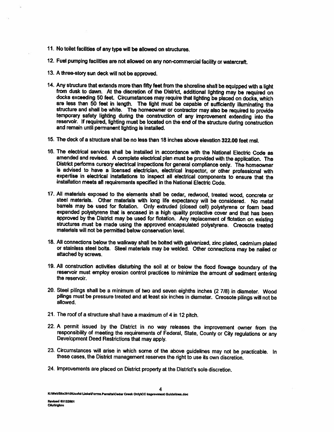- 11. No toilet facilities of any type will be allowed on structures.
- 12. Fuel pumping facilities are not allowed on any non-commercial facility or watercraft.
- 13. <sup>A</sup> three-story sun deck will not be approved.
- 14. Any structure that extends more than fifty feet from the shoreline shall be equipped with a light<br>from dusk to dawn. At the discretion of the District, additional lighting may be required on<br>docks exceeding 50 feet. Ci structure and shall be white. The homeowner or contractor may also be required to provide<br>temporary safety lighting during the construction of any improvement extending into the reservoir. If required, lighting must be located on the end of the structure during construction<br>and remain until permanent lighting is installed.
- 15. The deck of <sup>a</sup> structure shall be no less than 18 inches above elevation 322.00 feet msl.
- 16. The electrical services shall be installed in accordance with the National Electric Code as amended and revised. A complete electrical plan must be provided with the application. The District performs cursory electrical inspections for general compliance only. The homeowner<br>is advised to have a licensed electrician, electrical inspector, or other professional with<br>expertise in electrical installations
- 17. All materials exposed to the elements shall be cedar, redwood, treated wood, concrete or steel materials. Other materials with long life expectancy will be considered. No metal barrels may be used for flotation. Only extruded (closed cell) polystyrene or foam bead expanded polystyrene that is encased in a high quality protective cover and that has been approved by the District may be used for flo structures must be made using the approved encapsulated polystyrene. Creosote treated materials will not be permitted below conservation level.
- 18. AU connections below the walkway shall be bolted with galvanized, zinc <sup>p</sup>lated, cadmium <sup>p</sup>lated or stainless steel bolts. Steel materials may be welded. Other connections may be nailed or attached by screws.
- 19. All construction activities disturbing the soil at or below the flood flowage boundary of the reservoir must employ erosion control practices to minimize the amount of sediment entering the reservoir.
- 20. Steel <sup>p</sup>ilings shall be <sup>a</sup> minimum of two and seven eighths inches (2 7/8) in diameter. Wood <sup>p</sup>ilings must be pressure treated and at least six inches in diameter. Creosote <sup>p</sup>ilings will not be allowed.
- 21. The roof of <sup>a</sup> structure shall have <sup>a</sup> maximum of <sup>4</sup> in <sup>12</sup> <sup>p</sup>itch.
- 22. A permit issued by the District in no way releases the improvement owner from the responsibility of meeting the requirements of Federal, State, County or City regulations or any Development Deed Restrictions that may a
- 23. Circumstances will arise in which some of the above guidelines may not be practicable. In these cases, the District management reserves the right to use its own discretion.
- 24. Improvements are <sup>p</sup>laced on District property at the District's sole discretion.

K:WebSite2010\Useful Links\Forms.Permits\Cedar Creek Only\CC Improvment Guldelines.doc

4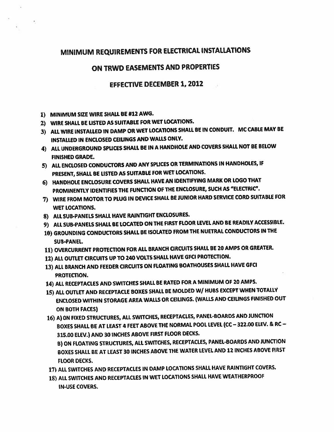## MINIMUM REQUIREMENTS FOR ELECTRICAL INSTALLATIONS

#### ON TRWD EASEMENTS AND PROPERTIES

#### EFFECTIVE DECEMBER 1, 2012

- 1) MINIMUM SIZE WIRE SHALL BE #12 AWG.
- 2) WIRE SHALL BE LISTED AS SUITABLE FOR WET LOCATIONS.
- 3) ALL WIRE INSTALLED IN DAMP OR WET LOCATIONS SHALL BE IN CONDUIT. MC CABLE MAY BE INSTALLED IN ENCLOSED CEIUNGS AND WALLS ONLY.
- 4) ALL UNDERGROUND SPLICES SHALL BE IN <sup>A</sup> HANOHOLE AND COVERS SHALL NOT BE BELOW FINISHED GRADE.
- 5) ALL ENCLOSED CONDUCTORS AND ANY SPLICES OR TERMINATIONS IN HANDHOLES, IF PRESENT, SHALL BE LISTED AS SUITABLE FOR WET LOCATIONS.
- 6) HANDROLE ENCLOSURE COVERS SHALL HAVE AN IDENTIFYING MARK OR LOGO THAT PROMINENTLY IDENTIFIES THE FUNCTION OF THE ENCLOSURE, SUCH AS "ELECTRIC".
- 7) WIRE FROM MOTOR TO PLUG IN DEVICE SHALL BE JUNIOR HARD SERVICE CORD SUITABLE FOR WET LOCATIONS.
- 8) ALL SUB-PANELS SHALL HAVE RAINTIGHT ENCLOSURES.
- 9) ALL SUB-PANELS SHALL BE LOCATED ON THE FIRST FLOOR LEVEL AND BE READILY ACCESSIBLE.
- 10) GROUNDING CONDUCTORS SHALL BE ISOLATED FROM THE NUETRAL CONDUCTORS IN THE SUB-PANEL.
- 11) OVERCURRENT PROTECTION FOR ALL BRANCH CIRCUITS SHALL BE <sup>20</sup> AMPS OR GREATER.
- 12) ALL OUTLET CIRCUITS UP TO <sup>240</sup> VOLTS SHALL HAVE GFCI PROTECTION.
- 13) ALL BRANCH AND FEEDER CIRCUITS ON FLOATING BOATHOUSES SHALL HAVE GFCI PROTECTION.
- 14) ALL RECEPTACLES AND SWITCHES SHALL BE RATED FOR <sup>A</sup> MINIMUM OF <sup>20</sup> AMPS.
- 15) ALL OUTLET AND RECEPTACLE BOXES SHALL BE MOLDED WI HUBS EXCEPT WHEN TOTALLY ENCLOSED WITHIN STORAGE AREA WALLS OR CEILINGS. (WALLS AND CEILINGS FINISHED OUT ON BOTH FACES)
- 16) A) ON FIXED STRUCTURES, ALL SWITCHES, RECEPTACLES, PANEL-BOARDS AND JUNCTION BOXES SHALL BE AT LEAST <sup>4</sup> FEET ABOVE THE NORMAL POOL LEVEL (CC —322.00 ELEV. & RC — 315.00 ELEV.) AND <sup>30</sup> INCHES ABOVE FIRST FLOOR DECKS. B) ON FLOATING STRUCTURES, ALL SWITCHES, RECEPTACLES, PANEL-BOARDS AND JUNCTION BOXES SHALL BE AT LEAST <sup>30</sup> INCHES ABOVE THE WATER LEVEL AND <sup>12</sup> INCHES ABOVE FIRST FLOOR DECKS.
- 17) ALL SWITCHES AND RECEPTACLES IN DAMP LOCATIONS SHALL HAVE RAINTIGHT COVERS.
- 18) ALL SWITCHES AND RECEPTACLES IN WET LOCATIONS SHALL HAVE WEATHERPROOF IN-USE COVERS.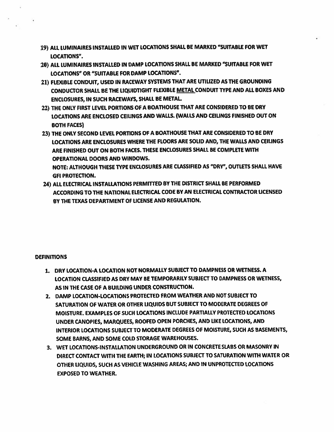- 19) ALL LUMINAIRES INSTALLED IN WET LOCATIONS SHALL BE MARKED "SUITABLE FOR WET LOCATIONS".
- 20) ALL LUMINAIRES INSTALLED IN DAMP LOCATIONS SHALL BE MARKED "SUITABLE FOR WET LOCATIONS" OR "SUITABLE FOR DAMP LOCATIONS".
- 21) FLEXIBLE CONDUIT, USED IN RACEWAY SYSTEMS THAT ARE UTILIZED AS ThE GROUNDING CONDUCTOR SHALL BE THE LIQUIDTIGHT FLEXIBLE METAL CONDUIT TYPE AND ALL BOXES AND ENCLOSURES, IN SUCH RACEWAYS, SHALL BE METAL
- 22) THE ONLY FIRST LEVEL PORTIONS OF <sup>A</sup> BOATHOUSE THAT ARE CONSIDERED TO BE DRY LOCATIONS ARE ENCLOSED CEILINGS AND WALLS. (WALLS AND CEILINGS FINISHED OUT ON BOTH FACES)
- 23) THE ONLY SECOND LEVEL PORTIONS OF <sup>A</sup> BOATHOUSE THAT ARE CONSIDERED TO BE DRY LOCATIONS ARE ENCLOSURES WHERE THE FLOORS ARE SOLID AND, THE WALLS AND CEILINGS ARE FINISHED OUT ON BOTH FACES. THESE ENCLOSURES SHALL BE COMPLETE WITH OPERATIONAL DOORS AND WINDOWS.

NOTE: ALTHOUGH THESE TYPE ENCLOSURES ARE CLASSIFIED AS "DRY", OUTLETS SHALL HAVE GFI PROTECTION.

24) ALL ELECTRICAL INSTALLATIONS PERMITTED BY THE DISTRICT SHALL BE PERFORMED ACCORDING TO THE NATIONAL ELECTRICAL CODE BY AN ELECTRICAL CONTRACTOR UCENSED BY THE TEXAS DEPARTMENT OF LICENSE AND REGULATION.

#### **DEFINITIONS**

- 1. DRY LOCATION-A LOCATION NOT NORMALLY SUBJECT TO DAMPNESS OR WETNESS. A LOCATION CLASSIFIED AS DRY MAY BE TEMPORARILY SUBJECT TO DAMPNESS OR WETNESS, AS IN THE CASE OF A BUILDING UNDER CONSTRUCTION.
- 2. DAMP LOCATION-LOCATIONS PROTECTED FROM WEATHER AND NOT SUBJECT TO SATURATION OF WATER OR OTHER LIQUIDS BUT SUBJECT TO MODERATE DEGREES OF MOISTURE. EXAMPLES OF SUCH LOCATIONS INCLUDE PARTIALLY PROTECTED LOCATIONS UNDER CANOPIES, MARQUEES, ROOFED OPEN PORCHES, AND LIKE LOCATIONS, AND INTERIOR LOCATIONS SUBJECT TO MODERATE DEGREES OF MOISTURE, SUCH AS BASEMENTS, SOME BARNS, AND SOME COLD STORAGE WAREHOUSES.
- 3. WET LOCATIONS-INSTALLATION UNDERGROUND OR IN CONCRETE SLABS OR MASONRY IN DIRECT CONTACT WITH THE EARTH; IN LOCATIONS SUBJECT TO SATURATION WITH WATER OR OTHER LIQUIDS, SUCH AS VEHICLE WASHING AREAS; AND IN UNPROTECTED LOCATIONS EXPOSED TO WEATHER.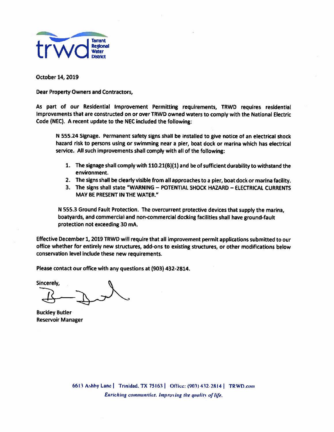

October 14, 2019

Dear Property Owners and Contractors,

As par<sup>t</sup> of our Residential Improvement Permitting requirements, TRWD requires residential Improvements that are constructed on or over TRWD owned waters to comply with the National Electric Code (NEC). A recent update to the NEC included the following:

<sup>N</sup> 555.24 Signage. Permanent safety signs shall be installed to <sup>g</sup>ive notice of an electrical shock hazard risk to persons using or swimming near <sup>a</sup> pier, boat dock or marina which has electrical service. All such improvements shall comply with all of the following;

- 1. The signage shall comply with 11O.21(B)(1) and be of sufficient durability to withstand the environment.
- 2. The signs shall be clearly visible from all approaches to <sup>a</sup> <sup>p</sup>ier, boat dock or marina facility.
- 3. The signs shall state "WARNING POTENTIAL SHOCK HAZARD ELECTRICAL CURRENTS MAY BE PRESENT IN THE WATER."

<sup>N</sup> 555.3 Ground Fault Protection. The overcurrent protective devices that supply the marina, boatyards, and commercial and non-commercial docking facilities shall have ground-fault protection not exceeding 30 mA.

Effective December 1,2019 TRWD will require that all improvement permit applications submitted to our office whether for entirely new structures, add-ons to existing structures, or other modifications below conservation level include these new requirements.

Please contact our office with any questions at (903) 432-2814.

Sincerely,

Buckley Butler Reservoir Manager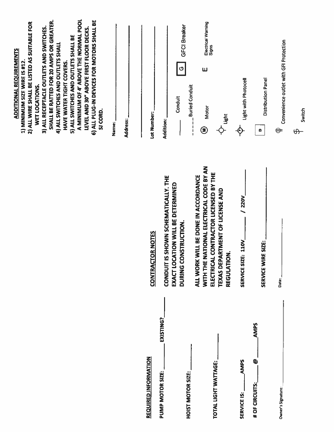|                                                  |                                                                                                                                                                                  | A MINIMUM OF 4' ABOVE THE NORMAL POOL<br>SHALL BE RATTED FOR 20 AMPS OR GREATER.<br>6) ALL PLUG-IN DEVICES FOR MOTORS SHALL BE<br>2) ALL WIRE SHALL BE LISTED AS SUITABLE FOR<br>3) ALL RECEPTACLE OUTLETS AND SWITCHES.<br>LEVEL AND 30" ABOVE FIRST FLOOR DECKS.<br><b>S) ALL SWITCHES AND OUTLETS SHALL BE</b><br>4) ALL SWITCHES AND OUTLETS SHALL<br><b>ADDITIONAL REQUIREMENTS</b><br>HAVE WATER TIGHT COVERS.<br>1) MINIMUM SIZE WIRE IS #12.<br>WET LOCATIONS.<br>SI CORD.<br>Name: |
|--------------------------------------------------|----------------------------------------------------------------------------------------------------------------------------------------------------------------------------------|---------------------------------------------------------------------------------------------------------------------------------------------------------------------------------------------------------------------------------------------------------------------------------------------------------------------------------------------------------------------------------------------------------------------------------------------------------------------------------------------|
|                                                  |                                                                                                                                                                                  | Address:                                                                                                                                                                                                                                                                                                                                                                                                                                                                                    |
| <b>REQUIRED INFORMATION</b>                      | <b>CTOR NOTES</b><br><b>CONTRA</b>                                                                                                                                               | Lot Number:                                                                                                                                                                                                                                                                                                                                                                                                                                                                                 |
| EXISTING?<br>PUMP MOTOR SIZE:                    | CONDUIT IS SHOWN SCHEMATICALLY. THE<br>EXACT LOCATION WILL BE DETERMINED<br>DURING CONSTRUCTION.                                                                                 | <b>GFCI Breaker</b><br>O<br>Conduit<br>Addition:                                                                                                                                                                                                                                                                                                                                                                                                                                            |
| TOTAL LIGHT WATTAGE:<br><b>HOIST MOTOR SIZE:</b> | WITH THE NATIONAL ELECTRICAL CODE BY AN<br>ELECTRICAL CONTRACTOR LICENSED BY THE<br>ALL WORK WILL BE DONE IN ACCORDANCE<br><b>TEXAS DEPARTMENT OF LICENSE AND</b><br>REGULATION. | Electrical Warning<br>Signs<br>Ш<br><b>Buried Conduit</b><br><b>Motor</b><br>Light<br>$\begin{bmatrix} 1 \\ 1 \\ 1 \\ 1 \end{bmatrix}$<br>€                                                                                                                                                                                                                                                                                                                                                 |
| <b>AMPS</b><br>SERVICE IS:                       | / 220V<br><b>IZE: 110V</b><br><b>SERVICE SI</b>                                                                                                                                  | Light with Photocell<br>$\hat{\mathsf{P}}$                                                                                                                                                                                                                                                                                                                                                                                                                                                  |
| <b>AMPS</b><br>⊌<br># OF CIRCUITS:               | SERVICE WIRE SIZE:                                                                                                                                                               | Distribution Panel<br>$\bullet$                                                                                                                                                                                                                                                                                                                                                                                                                                                             |
| Owner's Signature:                               | Date:                                                                                                                                                                            | Convenience outlet with GFI Protection<br>$\Leftrightarrow$                                                                                                                                                                                                                                                                                                                                                                                                                                 |
|                                                  |                                                                                                                                                                                  | Switch<br>$\theta$                                                                                                                                                                                                                                                                                                                                                                                                                                                                          |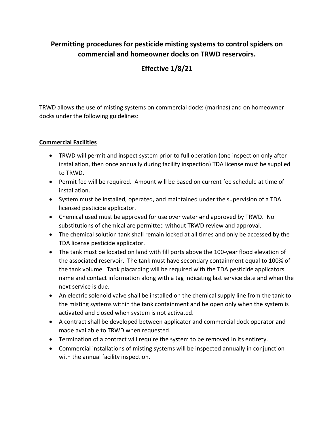### **Permitting procedures for pesticide misting systems to control spiders on commercial and homeowner docks on TRWD reservoirs.**

### **Effective 1/8/21**

TRWD allows the use of misting systems on commercial docks (marinas) and on homeowner docks under the following guidelines:

#### **Commercial Facilities**

- TRWD will permit and inspect system prior to full operation (one inspection only after installation, then once annually during facility inspection) TDA license must be supplied to TRWD.
- Permit fee will be required. Amount will be based on current fee schedule at time of installation.
- System must be installed, operated, and maintained under the supervision of a TDA licensed pesticide applicator.
- Chemical used must be approved for use over water and approved by TRWD. No substitutions of chemical are permitted without TRWD review and approval.
- The chemical solution tank shall remain locked at all times and only be accessed by the TDA license pesticide applicator.
- The tank must be located on land with fill ports above the 100-year flood elevation of the associated reservoir. The tank must have secondary containment equal to 100% of the tank volume. Tank placarding will be required with the TDA pesticide applicators name and contact information along with a tag indicating last service date and when the next service is due.
- An electric solenoid valve shall be installed on the chemical supply line from the tank to the misting systems within the tank containment and be open only when the system is activated and closed when system is not activated.
- A contract shall be developed between applicator and commercial dock operator and made available to TRWD when requested.
- Termination of a contract will require the system to be removed in its entirety.
- Commercial installations of misting systems will be inspected annually in conjunction with the annual facility inspection.